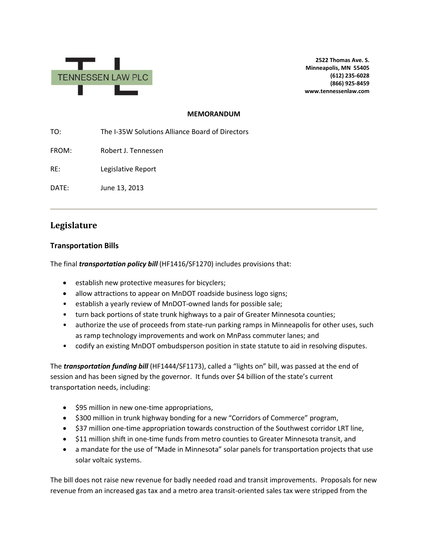

**2522 Thomas Ave. S. Minneapolis, MN 55405 (612) 235-6028 (866) 925-8459 www.tennessenlaw.com**

#### **MEMORANDUM**

TO: The I-35W Solutions Alliance Board of Directors

FROM: Robert J. Tennessen

RE: Legislative Report

DATE: June 13, 2013

# **Legislature**

#### **Transportation Bills**

The final *transportation policy bill* (HF1416/SF1270) includes provisions that:

- establish new protective measures for bicyclers;
- allow attractions to appear on MnDOT roadside business logo signs;
- establish a yearly review of MnDOT-owned lands for possible sale;
- turn back portions of state trunk highways to a pair of Greater Minnesota counties;
- authorize the use of proceeds from state-run parking ramps in Minneapolis for other uses, such as ramp technology improvements and work on MnPass commuter lanes; and
- codify an existing MnDOT ombudsperson position in state statute to aid in resolving disputes.

The *transportation funding bill* (HF1444/SF1173), called a "lights on" bill, was passed at the end of session and has been signed by the governor. It funds over \$4 billion of the state's current transportation needs, including:

- \$95 million in new one-time appropriations,
- \$300 million in trunk highway bonding for a new "Corridors of Commerce" program,
- \$37 million one-time appropriation towards construction of the Southwest corridor LRT line,
- \$11 million shift in one-time funds from metro counties to Greater Minnesota transit, and
- a mandate for the use of "Made in Minnesota" solar panels for transportation projects that use solar voltaic systems.

The bill does not raise new revenue for badly needed road and transit improvements. Proposals for new revenue from an increased gas tax and a metro area transit-oriented sales tax were stripped from the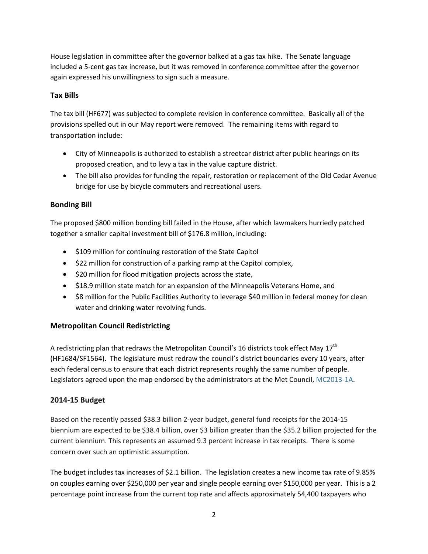House legislation in committee after the governor balked at a gas tax hike. The Senate language included a 5-cent gas tax increase, but it was removed in conference committee after the governor again expressed his unwillingness to sign such a measure.

### **Tax Bills**

The tax bill (HF677) was subjected to complete revision in conference committee. Basically all of the provisions spelled out in our May report were removed. The remaining items with regard to transportation include:

- City of Minneapolis is authorized to establish a streetcar district after public hearings on its proposed creation, and to levy a tax in the value capture district.
- The bill also provides for funding the repair, restoration or replacement of the Old Cedar Avenue bridge for use by bicycle commuters and recreational users.

# **Bonding Bill**

The proposed \$800 million bonding bill failed in the House, after which lawmakers hurriedly patched together a smaller capital investment bill of \$176.8 million, including:

- \$109 million for continuing restoration of the State Capitol
- \$22 million for construction of a parking ramp at the Capitol complex,
- \$20 million for flood mitigation projects across the state,
- \$18.9 million state match for an expansion of the Minneapolis Veterans Home, and
- \$8 million for the Public Facilities Authority to leverage \$40 million in federal money for clean water and drinking water revolving funds.

# **Metropolitan Council Redistricting**

A redistricting plan that redraws the Metropolitan Council's 16 districts took effect May  $17^{\text{th}}$ (HF1684/SF1564). The legislature must redraw the council's district boundaries every 10 years, after each federal census to ensure that each district represents roughly the same number of people. Legislators agreed upon the map endorsed by the administrators at the Met Council, [MC2013-1A.](http://www.gis.leg.mn/html/mcplans2013.html)

# **2014-15 Budget**

Based on the recently passed \$38.3 billion 2-year budget, general fund receipts for the 2014-15 biennium are expected to be \$38.4 billion, over \$3 billion greater than the \$35.2 billion projected for the current biennium. This represents an assumed 9.3 percent increase in tax receipts. There is some concern over such an optimistic assumption.

The budget includes tax increases of \$2.1 billion. The legislation creates a new income tax rate of 9.85% on couples earning over \$250,000 per year and single people earning over \$150,000 per year. This is a 2 percentage point increase from the current top rate and affects approximately 54,400 taxpayers who